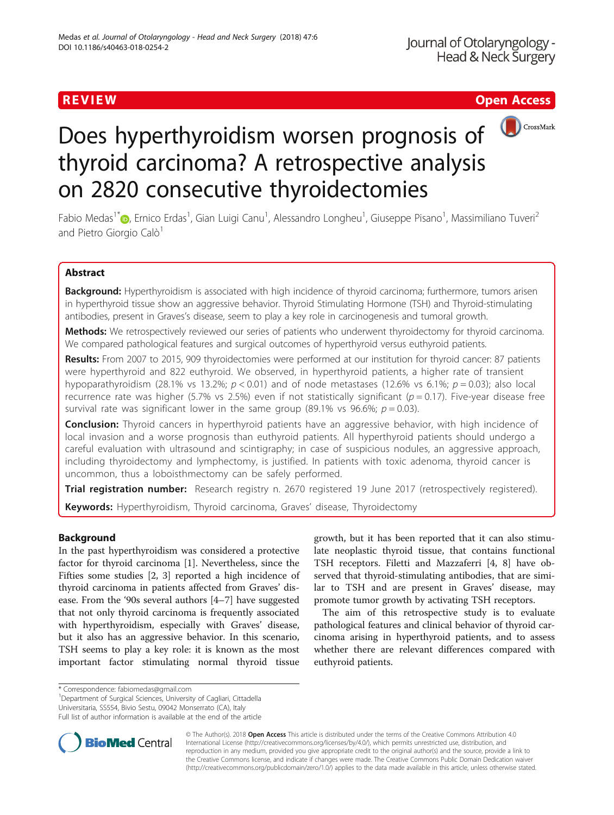# R EVI EW Open Access and the contract of the contract of the contract of the contract of the contract of the c



# Does hyperthyroidism worsen prognosis of thyroid carcinoma? A retrospective analysis on 2820 consecutive thyroidectomies

Fabio Medas<sup>1\*</sup>©[,](http://orcid.org/0000-0002-9546-0178) Ernico Erdas<sup>1</sup>, Gian Luigi Canu<sup>1</sup>, Alessandro Longheu<sup>1</sup>, Giuseppe Pisano<sup>1</sup>, Massimiliano Tuveri<sup>2</sup> and Pietro Giorgio Calò<sup>1</sup>

# Abstract

Background: Hyperthyroidism is associated with high incidence of thyroid carcinoma; furthermore, tumors arisen in hyperthyroid tissue show an aggressive behavior. Thyroid Stimulating Hormone (TSH) and Thyroid-stimulating antibodies, present in Graves's disease, seem to play a key role in carcinogenesis and tumoral growth.

Methods: We retrospectively reviewed our series of patients who underwent thyroidectomy for thyroid carcinoma. We compared pathological features and surgical outcomes of hyperthyroid versus euthyroid patients.

Results: From 2007 to 2015, 909 thyroidectomies were performed at our institution for thyroid cancer: 87 patients were hyperthyroid and 822 euthyroid. We observed, in hyperthyroid patients, a higher rate of transient hypoparathyroidism (28.1% vs 13.2%;  $p < 0.01$ ) and of node metastases (12.6% vs 6.1%;  $p = 0.03$ ); also local recurrence rate was higher (5.7% vs 2.5%) even if not statistically significant ( $p = 0.17$ ). Five-year disease free survival rate was significant lower in the same group (89.1% vs 96.6%;  $p = 0.03$ ).

**Conclusion:** Thyroid cancers in hyperthyroid patients have an aggressive behavior, with high incidence of local invasion and a worse prognosis than euthyroid patients. All hyperthyroid patients should undergo a careful evaluation with ultrasound and scintigraphy; in case of suspicious nodules, an aggressive approach, including thyroidectomy and lymphectomy, is justified. In patients with toxic adenoma, thyroid cancer is uncommon, thus a loboisthmectomy can be safely performed.

Trial registration number: Research registry [n. 2670](http://eproofing.springer.com/journals_v2/mainpage.php?token=UW_fKdwUlElCTMAMNLhRGHASsi7CWu148WYI5IG3tFs) registered 19 June 2017 (retrospectively registered). Keywords: Hyperthyroidism, Thyroid carcinoma, Graves' disease, Thyroidectomy

# Background

In the past hyperthyroidism was considered a protective factor for thyroid carcinoma [[1\]](#page-4-0). Nevertheless, since the Fifties some studies [\[2](#page-4-0), [3\]](#page-4-0) reported a high incidence of thyroid carcinoma in patients affected from Graves' disease. From the '90s several authors [\[4](#page-4-0)–[7](#page-4-0)] have suggested that not only thyroid carcinoma is frequently associated with hyperthyroidism, especially with Graves' disease, but it also has an aggressive behavior. In this scenario, TSH seems to play a key role: it is known as the most important factor stimulating normal thyroid tissue

growth, but it has been reported that it can also stimulate neoplastic thyroid tissue, that contains functional TSH receptors. Filetti and Mazzaferri [[4](#page-4-0), [8\]](#page-4-0) have observed that thyroid-stimulating antibodies, that are similar to TSH and are present in Graves' disease, may promote tumor growth by activating TSH receptors.

The aim of this retrospective study is to evaluate pathological features and clinical behavior of thyroid carcinoma arising in hyperthyroid patients, and to assess whether there are relevant differences compared with euthyroid patients.

Department of Surgical Sciences, University of Cagliari, Cittadella Universitaria, SS554, Bivio Sestu, 09042 Monserrato (CA), Italy

Full list of author information is available at the end of the article



© The Author(s). 2018 Open Access This article is distributed under the terms of the Creative Commons Attribution 4.0 International License [\(http://creativecommons.org/licenses/by/4.0/](http://creativecommons.org/licenses/by/4.0/)), which permits unrestricted use, distribution, and reproduction in any medium, provided you give appropriate credit to the original author(s) and the source, provide a link to the Creative Commons license, and indicate if changes were made. The Creative Commons Public Domain Dedication waiver [\(http://creativecommons.org/publicdomain/zero/1.0/](http://creativecommons.org/publicdomain/zero/1.0/)) applies to the data made available in this article, unless otherwise stated.

<sup>\*</sup> Correspondence: [fabiomedas@gmail.com](mailto:fabiomedas@gmail.com) <sup>1</sup>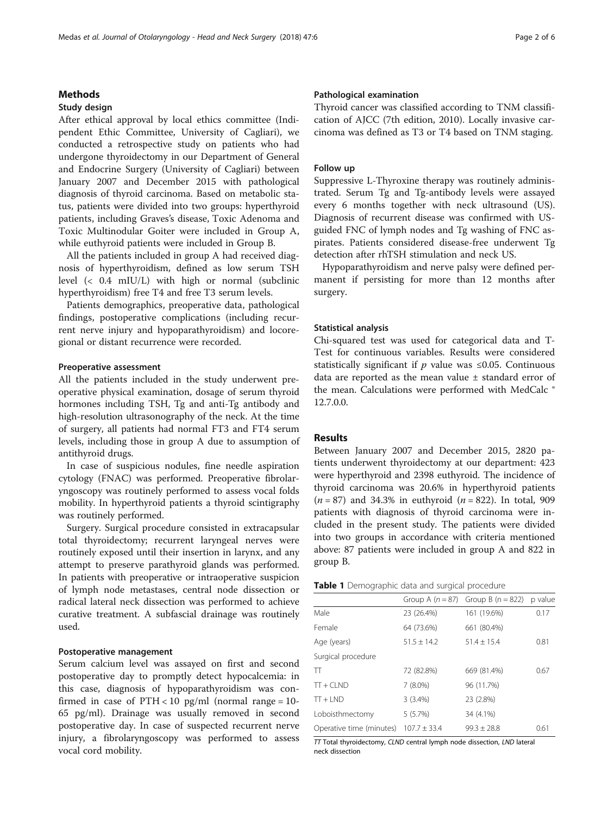#### <span id="page-1-0"></span>Methods

#### Study design

After ethical approval by local ethics committee (Indipendent Ethic Committee, University of Cagliari), we conducted a retrospective study on patients who had undergone thyroidectomy in our Department of General and Endocrine Surgery (University of Cagliari) between January 2007 and December 2015 with pathological diagnosis of thyroid carcinoma. Based on metabolic status, patients were divided into two groups: hyperthyroid patients, including Graves's disease, Toxic Adenoma and Toxic Multinodular Goiter were included in Group A, while euthyroid patients were included in Group B.

All the patients included in group A had received diagnosis of hyperthyroidism, defined as low serum TSH level (< 0.4 mIU/L) with high or normal (subclinic hyperthyroidism) free T4 and free T3 serum levels.

Patients demographics, preoperative data, pathological findings, postoperative complications (including recurrent nerve injury and hypoparathyroidism) and locoregional or distant recurrence were recorded.

#### Preoperative assessment

All the patients included in the study underwent preoperative physical examination, dosage of serum thyroid hormones including TSH, Tg and anti-Tg antibody and high-resolution ultrasonography of the neck. At the time of surgery, all patients had normal FT3 and FT4 serum levels, including those in group A due to assumption of antithyroid drugs.

In case of suspicious nodules, fine needle aspiration cytology (FNAC) was performed. Preoperative fibrolaryngoscopy was routinely performed to assess vocal folds mobility. In hyperthyroid patients a thyroid scintigraphy was routinely performed.

Surgery. Surgical procedure consisted in extracapsular total thyroidectomy; recurrent laryngeal nerves were routinely exposed until their insertion in larynx, and any attempt to preserve parathyroid glands was performed. In patients with preoperative or intraoperative suspicion of lymph node metastases, central node dissection or radical lateral neck dissection was performed to achieve curative treatment. A subfascial drainage was routinely used.

### Postoperative management

Serum calcium level was assayed on first and second postoperative day to promptly detect hypocalcemia: in this case, diagnosis of hypoparathyroidism was confirmed in case of  $PTH < 10$  pg/ml (normal range =  $10$ -65 pg/ml). Drainage was usually removed in second postoperative day. In case of suspected recurrent nerve injury, a fibrolaryngoscopy was performed to assess vocal cord mobility.

### Pathological examination

Thyroid cancer was classified according to TNM classification of AJCC (7th edition, 2010). Locally invasive carcinoma was defined as T3 or T4 based on TNM staging.

#### Follow up

Suppressive L-Thyroxine therapy was routinely administrated. Serum Tg and Tg-antibody levels were assayed every 6 months together with neck ultrasound (US). Diagnosis of recurrent disease was confirmed with USguided FNC of lymph nodes and Tg washing of FNC aspirates. Patients considered disease-free underwent Tg detection after rhTSH stimulation and neck US.

Hypoparathyroidism and nerve palsy were defined permanent if persisting for more than 12 months after surgery.

#### Statistical analysis

Chi-squared test was used for categorical data and T-Test for continuous variables. Results were considered statistically significant if  $p$  value was ≤0.05. Continuous data are reported as the mean value ± standard error of the mean. Calculations were performed with MedCalc ® 12.7.0.0.

#### Results

Between January 2007 and December 2015, 2820 patients underwent thyroidectomy at our department: 423 were hyperthyroid and 2398 euthyroid. The incidence of thyroid carcinoma was 20.6% in hyperthyroid patients  $(n = 87)$  and 34.3% in euthyroid  $(n = 822)$ . In total, 909 patients with diagnosis of thyroid carcinoma were included in the present study. The patients were divided into two groups in accordance with criteria mentioned above: 87 patients were included in group A and 822 in group B.

|  |  |  |  |  |  |  | Table 1 Demographic data and surgical procedure |
|--|--|--|--|--|--|--|-------------------------------------------------|
|--|--|--|--|--|--|--|-------------------------------------------------|

|                          |                  | Group A $(n = 87)$ Group B $(n = 822)$ | p value |
|--------------------------|------------------|----------------------------------------|---------|
| Male                     | 23 (26.4%)       | 161 (19.6%)                            | 0.17    |
| Female                   | 64 (73.6%)       | 661 (80.4%)                            |         |
| Age (years)              | $51.5 \pm 14.2$  | $51.4 \pm 15.4$                        | 0.81    |
| Surgical procedure       |                  |                                        |         |
| π                        | 72 (82.8%)       | 669 (81.4%)                            | 0.67    |
| $TT + CLND$              | $7(8.0\%)$       | 96 (11.7%)                             |         |
| $TT + IND$               | 3(3.4%)          | 23 (2.8%)                              |         |
| Loboisthmectomy          | 5(5.7%)          | 34 (4.1%)                              |         |
| Operative time (minutes) | $107.7 \pm 33.4$ | $99.3 + 28.8$                          | 0.61    |

 $T$ Total thyroidectomy, CLND central lymph node dissection, LND lateral neck dissection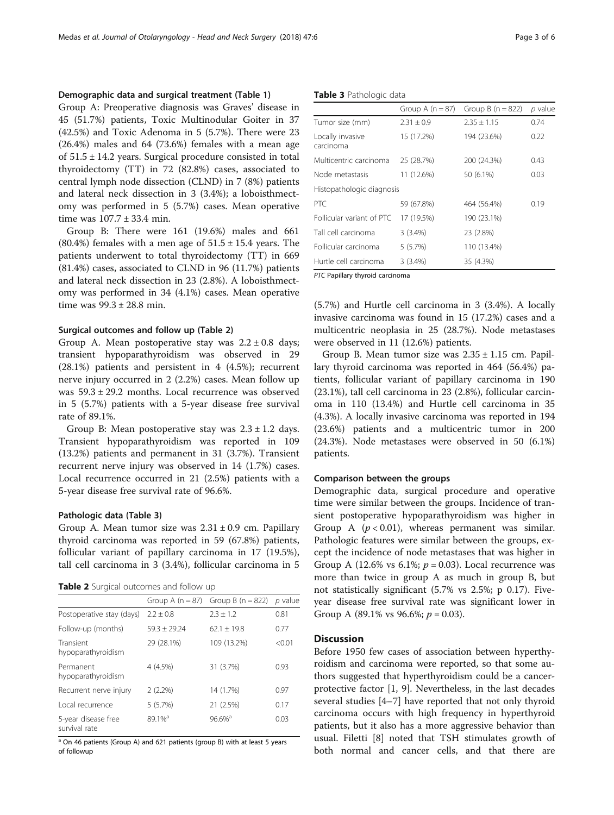#### Demographic data and surgical treatment (Table [1\)](#page-1-0)

Group A: Preoperative diagnosis was Graves' disease in 45 (51.7%) patients, Toxic Multinodular Goiter in 37 (42.5%) and Toxic Adenoma in 5 (5.7%). There were 23 (26.4%) males and 64 (73.6%) females with a mean age of 51.5 ± 14.2 years. Surgical procedure consisted in total thyroidectomy (TT) in 72 (82.8%) cases, associated to central lymph node dissection (CLND) in 7 (8%) patients and lateral neck dissection in 3 (3.4%); a loboisthmectomy was performed in 5 (5.7%) cases. Mean operative time was 107.7 ± 33.4 min.

Group B: There were 161 (19.6%) males and 661  $(80.4\%)$  females with a men age of  $51.5 \pm 15.4$  years. The patients underwent to total thyroidectomy (TT) in 669 (81.4%) cases, associated to CLND in 96 (11.7%) patients and lateral neck dissection in 23 (2.8%). A loboisthmectomy was performed in 34 (4.1%) cases. Mean operative time was 99.3 ± 28.8 min.

#### Surgical outcomes and follow up (Table 2)

Group A. Mean postoperative stay was  $2.2 \pm 0.8$  days; transient hypoparathyroidism was observed in 29 (28.1%) patients and persistent in 4 (4.5%); recurrent nerve injury occurred in 2 (2.2%) cases. Mean follow up was 59.3 ± 29.2 months. Local recurrence was observed in 5 (5.7%) patients with a 5-year disease free survival rate of 89.1%.

Group B: Mean postoperative stay was  $2.3 \pm 1.2$  days. Transient hypoparathyroidism was reported in 109 (13.2%) patients and permanent in 31 (3.7%). Transient recurrent nerve injury was observed in 14 (1.7%) cases. Local recurrence occurred in 21 (2.5%) patients with a 5-year disease free survival rate of 96.6%.

#### Pathologic data (Table 3)

Group A. Mean tumor size was  $2.31 \pm 0.9$  cm. Papillary thyroid carcinoma was reported in 59 (67.8%) patients, follicular variant of papillary carcinoma in 17 (19.5%), tall cell carcinoma in 3 (3.4%), follicular carcinoma in 5

|  |  | Table 2 Surgical outcomes and follow up |  |  |  |
|--|--|-----------------------------------------|--|--|--|
|--|--|-----------------------------------------|--|--|--|

| Group A $(n = 87)$ | Group B $(n = 822)$  | $p$ value |
|--------------------|----------------------|-----------|
| $2.2 + 0.8$        | $2.3 \pm 1.2$        | 0.81      |
| $59.3 + 29.24$     | $62.1 + 19.8$        | 0.77      |
| 29 (28.1%)         | 109 (13.2%)          | < 0.01    |
| 4 (4.5%)           | 31 (3.7%)            | 0.93      |
| $2(2.2\%)$         | 14 (1.7%)            | 0.97      |
| 5(5.7%)            | 21 (2.5%)            | 0.17      |
| 89.1% <sup>a</sup> | $96.6%$ <sup>a</sup> | 0.03      |
|                    |                      |           |

 $\overline{a}$  On 46 patients (Group A) and 621 patients (group B) with at least 5 years of followup

Table 3 Pathologic data

|                               | Group A $(n = 87)$ | Group B $(n = 822)$ | p value |
|-------------------------------|--------------------|---------------------|---------|
| Tumor size (mm)               | $2.31 + 0.9$       | $2.35 + 1.15$       | 0.74    |
| Locally invasive<br>carcinoma | 15 (17.2%)         | 194 (23.6%)         | 0.22    |
| Multicentric carcinoma        | 25 (28.7%)         | 200 (24.3%)         | 0.43    |
| Node metastasis               | 11 (12.6%)         | 50 (6.1%)           | 0.03    |
| Histopathologic diagnosis     |                    |                     |         |
| PTC.                          | 59 (67.8%)         | 464 (56.4%)         | 0.19    |
| Follicular variant of PTC     | 17 (19.5%)         | 190 (23.1%)         |         |
| Tall cell carcinoma           | $3(3.4\%)$         | 23 (2.8%)           |         |
| Follicular carcinoma          | 5(5.7%)            | 110 (13.4%)         |         |
| Hurtle cell carcinoma         | 3(3.4%)            | 35 (4.3%)           |         |

PTC Papillary thyroid carcinoma

(5.7%) and Hurtle cell carcinoma in 3 (3.4%). A locally invasive carcinoma was found in 15 (17.2%) cases and a multicentric neoplasia in 25 (28.7%). Node metastases were observed in 11 (12.6%) patients.

Group B. Mean tumor size was  $2.35 \pm 1.15$  cm. Papillary thyroid carcinoma was reported in 464 (56.4%) patients, follicular variant of papillary carcinoma in 190 (23.1%), tall cell carcinoma in 23 (2.8%), follicular carcinoma in 110 (13.4%) and Hurtle cell carcinoma in 35 (4.3%). A locally invasive carcinoma was reported in 194 (23.6%) patients and a multicentric tumor in 200 (24.3%). Node metastases were observed in 50 (6.1%) patients.

#### Comparison between the groups

Demographic data, surgical procedure and operative time were similar between the groups. Incidence of transient postoperative hypoparathyroidism was higher in Group A  $(p < 0.01)$ , whereas permanent was similar. Pathologic features were similar between the groups, except the incidence of node metastases that was higher in Group A (12.6% vs 6.1%;  $p = 0.03$ ). Local recurrence was more than twice in group A as much in group B, but not statistically significant (5.7% vs 2.5%; p 0.17). Fiveyear disease free survival rate was significant lower in Group A (89.1% vs 96.6%;  $p = 0.03$ ).

#### **Discussion**

Before 1950 few cases of association between hyperthyroidism and carcinoma were reported, so that some authors suggested that hyperthyroidism could be a cancerprotective factor [\[1](#page-4-0), [9\]](#page-4-0). Nevertheless, in the last decades several studies [\[4](#page-4-0)–[7](#page-4-0)] have reported that not only thyroid carcinoma occurs with high frequency in hyperthyroid patients, but it also has a more aggressive behavior than usual. Filetti [[8\]](#page-4-0) noted that TSH stimulates growth of both normal and cancer cells, and that there are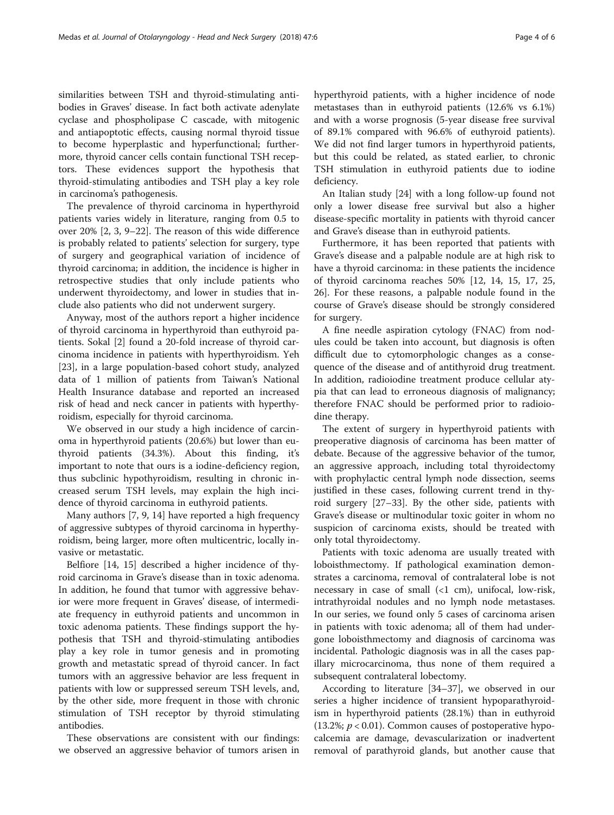similarities between TSH and thyroid-stimulating antibodies in Graves' disease. In fact both activate adenylate cyclase and phospholipase C cascade, with mitogenic and antiapoptotic effects, causing normal thyroid tissue to become hyperplastic and hyperfunctional; furthermore, thyroid cancer cells contain functional TSH receptors. These evidences support the hypothesis that thyroid-stimulating antibodies and TSH play a key role in carcinoma's pathogenesis.

The prevalence of thyroid carcinoma in hyperthyroid patients varies widely in literature, ranging from 0.5 to over 20% [\[2](#page-4-0), [3, 9](#page-4-0)–[22](#page-5-0)]. The reason of this wide difference is probably related to patients' selection for surgery, type of surgery and geographical variation of incidence of thyroid carcinoma; in addition, the incidence is higher in retrospective studies that only include patients who underwent thyroidectomy, and lower in studies that include also patients who did not underwent surgery.

Anyway, most of the authors report a higher incidence of thyroid carcinoma in hyperthyroid than euthyroid patients. Sokal [[2\]](#page-4-0) found a 20-fold increase of thyroid carcinoma incidence in patients with hyperthyroidism. Yeh [[23\]](#page-5-0), in a large population-based cohort study, analyzed data of 1 million of patients from Taiwan's National Health Insurance database and reported an increased risk of head and neck cancer in patients with hyperthyroidism, especially for thyroid carcinoma.

We observed in our study a high incidence of carcinoma in hyperthyroid patients (20.6%) but lower than euthyroid patients (34.3%). About this finding, it's important to note that ours is a iodine-deficiency region, thus subclinic hypothyroidism, resulting in chronic increased serum TSH levels, may explain the high incidence of thyroid carcinoma in euthyroid patients.

Many authors [[7, 9, 14](#page-4-0)] have reported a high frequency of aggressive subtypes of thyroid carcinoma in hyperthyroidism, being larger, more often multicentric, locally invasive or metastatic.

Belfiore [[14](#page-4-0), [15\]](#page-4-0) described a higher incidence of thyroid carcinoma in Grave's disease than in toxic adenoma. In addition, he found that tumor with aggressive behavior were more frequent in Graves' disease, of intermediate frequency in euthyroid patients and uncommon in toxic adenoma patients. These findings support the hypothesis that TSH and thyroid-stimulating antibodies play a key role in tumor genesis and in promoting growth and metastatic spread of thyroid cancer. In fact tumors with an aggressive behavior are less frequent in patients with low or suppressed sereum TSH levels, and, by the other side, more frequent in those with chronic stimulation of TSH receptor by thyroid stimulating antibodies.

These observations are consistent with our findings: we observed an aggressive behavior of tumors arisen in hyperthyroid patients, with a higher incidence of node metastases than in euthyroid patients (12.6% vs 6.1%) and with a worse prognosis (5-year disease free survival of 89.1% compared with 96.6% of euthyroid patients). We did not find larger tumors in hyperthyroid patients, but this could be related, as stated earlier, to chronic TSH stimulation in euthyroid patients due to iodine deficiency.

An Italian study [[24\]](#page-5-0) with a long follow-up found not only a lower disease free survival but also a higher disease-specific mortality in patients with thyroid cancer and Grave's disease than in euthyroid patients.

Furthermore, it has been reported that patients with Grave's disease and a palpable nodule are at high risk to have a thyroid carcinoma: in these patients the incidence of thyroid carcinoma reaches 50% [\[12](#page-4-0), [14, 15, 17,](#page-4-0) [25](#page-5-0), [26\]](#page-5-0). For these reasons, a palpable nodule found in the course of Grave's disease should be strongly considered for surgery.

A fine needle aspiration cytology (FNAC) from nodules could be taken into account, but diagnosis is often difficult due to cytomorphologic changes as a consequence of the disease and of antithyroid drug treatment. In addition, radioiodine treatment produce cellular atypia that can lead to erroneous diagnosis of malignancy; therefore FNAC should be performed prior to radioiodine therapy.

The extent of surgery in hyperthyroid patients with preoperative diagnosis of carcinoma has been matter of debate. Because of the aggressive behavior of the tumor, an aggressive approach, including total thyroidectomy with prophylactic central lymph node dissection, seems justified in these cases, following current trend in thyroid surgery [\[27](#page-5-0)–[33](#page-5-0)]. By the other side, patients with Grave's disease or multinodular toxic goiter in whom no suspicion of carcinoma exists, should be treated with only total thyroidectomy.

Patients with toxic adenoma are usually treated with loboisthmectomy. If pathological examination demonstrates a carcinoma, removal of contralateral lobe is not necessary in case of small (<1 cm), unifocal, low-risk, intrathyroidal nodules and no lymph node metastases. In our series, we found only 5 cases of carcinoma arisen in patients with toxic adenoma; all of them had undergone loboisthmectomy and diagnosis of carcinoma was incidental. Pathologic diagnosis was in all the cases papillary microcarcinoma, thus none of them required a subsequent contralateral lobectomy.

According to literature [\[34](#page-5-0)–[37\]](#page-5-0), we observed in our series a higher incidence of transient hypoparathyroidism in hyperthyroid patients (28.1%) than in euthyroid (13.2%;  $p < 0.01$ ). Common causes of postoperative hypocalcemia are damage, devascularization or inadvertent removal of parathyroid glands, but another cause that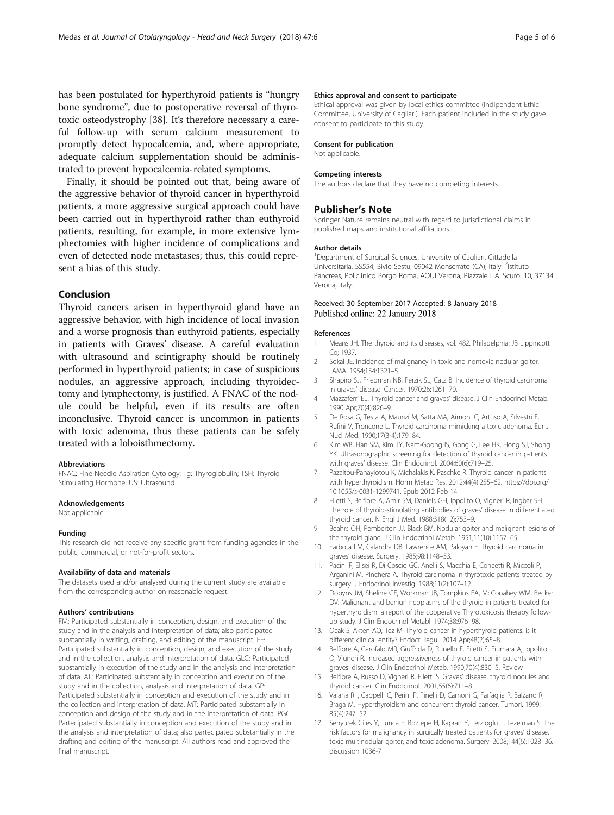<span id="page-4-0"></span>has been postulated for hyperthyroid patients is "hungry bone syndrome", due to postoperative reversal of thyrotoxic osteodystrophy [[38\]](#page-5-0). It's therefore necessary a careful follow-up with serum calcium measurement to promptly detect hypocalcemia, and, where appropriate, adequate calcium supplementation should be administrated to prevent hypocalcemia-related symptoms.

Finally, it should be pointed out that, being aware of the aggressive behavior of thyroid cancer in hyperthyroid patients, a more aggressive surgical approach could have been carried out in hyperthyroid rather than euthyroid patients, resulting, for example, in more extensive lymphectomies with higher incidence of complications and even of detected node metastases; thus, this could represent a bias of this study.

## Conclusion

Thyroid cancers arisen in hyperthyroid gland have an aggressive behavior, with high incidence of local invasion and a worse prognosis than euthyroid patients, especially in patients with Graves' disease. A careful evaluation with ultrasound and scintigraphy should be routinely performed in hyperthyroid patients; in case of suspicious nodules, an aggressive approach, including thyroidectomy and lymphectomy, is justified. A FNAC of the nodule could be helpful, even if its results are often inconclusive. Thyroid cancer is uncommon in patients with toxic adenoma, thus these patients can be safely treated with a loboisthmectomy.

#### Abbreviations

FNAC: Fine Needle Aspiration Cytology; Tg: Thyroglobulin; TSH: Thyroid Stimulating Hormone; US: Ultrasound

#### **Acknowledgements**

Not applicable.

#### Funding

This research did not receive any specific grant from funding agencies in the public, commercial, or not-for-profit sectors.

#### Availability of data and materials

The datasets used and/or analysed during the current study are available from the corresponding author on reasonable request.

#### Authors' contributions

FM: Participated substantially in conception, design, and execution of the study and in the analysis and interpretation of data; also participated substantially in writing, drafting, and editing of the manuscript. EE: Participated substantially in conception, design, and execution of the study and in the collection, analysis and interpretation of data. GLC: Participated substantially in execution of the study and in the analysis and interpretation of data. AL: Participated substantially in conception and execution of the study and in the collection, analysis and interpretation of data. GP: Participated substantially in conception and execution of the study and in the collection and interpretation of data. MT: Participated substantially in conception and design of the study and in the interpretation of data. PGC: Partecipated substantially in conception and execution of the study and in the analysis and interpretation of data; also partecipated substantially in the drafting and editing of the manuscript. All authors read and approved the final manuscript.

#### Ethics approval and consent to participate

Ethical approval was given by local ethics committee (Indipendent Ethic Committee, University of Cagliari). Each patient included in the study gave consent to participate to this study.

#### Consent for publication

Not applicable.

#### Competing interests

The authors declare that they have no competing interests.

#### Publisher's Note

Springer Nature remains neutral with regard to jurisdictional claims in published maps and institutional affiliations.

#### Author details

<sup>1</sup>Department of Surgical Sciences, University of Cagliari, Cittadella Universitaria, SS554, Bivio Sestu, 09042 Monserrato (CA), Italy. <sup>2</sup>Istituto Pancreas, Policlinico Borgo Roma, AOUI Verona, Piazzale L.A. Scuro, 10, 37134 Verona, Italy.

#### Received: 30 September 2017 Accepted: 8 January 2018 Published online: 22 January 2018

#### References

- 1. Means JH. The thyroid and its diseases, vol. 482. Philadelphia: JB Lippincott Co; 1937.
- 2. Sokal JE. Incidence of malignancy in toxic and nontoxic nodular goiter. JAMA. 1954;154:1321–5.
- 3. Shapiro SJ, Friedman NB, Perzik SL, Catz B. Incidence of thyroid carcinoma in graves' disease. Cancer. 1970;26:1261–70.
- 4. Mazzaferri EL. Thyroid cancer and graves' disease. J Clin Endocrinol Metab. 1990 Apr;70(4):826–9.
- 5. De Rosa G, Testa A, Maurizi M, Satta MA, Aimoni C, Artuso A, Silvestri E, Rufini V, Troncone L. Thyroid carcinoma mimicking a toxic adenoma. Eur J Nucl Med. 1990;17(3-4):179–84.
- 6. Kim WB, Han SM, Kim TY, Nam-Goong IS, Gong G, Lee HK, Hong SJ, Shong YK. Ultrasonographic screening for detection of thyroid cancer in patients with graves' disease. Clin Endocrinol. 2004;60(6):719–25.
- Pazaitou-Panayiotou K, Michalakis K, Paschke R. Thyroid cancer in patients with hyperthyroidism. Horm Metab Res. 2012;44(4):255–62. [https://doi.org/](http://dx.doi.org/10.1055/s-0031-1299741) [10.1055/s-0031-1299741](http://dx.doi.org/10.1055/s-0031-1299741). Epub 2012 Feb 14
- 8. Filetti S, Belfiore A, Amir SM, Daniels GH, Ippolito O, Vigneri R, Ingbar SH. The role of thyroid-stimulating antibodies of graves' disease in differentiated thyroid cancer. N Engl J Med. 1988;318(12):753–9.
- 9. Beahrs OH, Pemberton JJ, Black BM. Nodular goiter and malignant lesions of the thyroid gland. J Clin Endocrinol Metab. 1951;11(10):1157–65.
- 10. Farbota LM, Calandra DB, Lawrence AM, Paloyan E. Thyroid carcinoma in graves' disease. Surgery. 1985;98:1148–53.
- 11. Pacini F, Elisei R, Di Coscio GC, Anelli S, Macchia E, Concetti R, Miccoli P, Arganini M, Pinchera A. Thyroid carcinoma in thyrotoxic patients treated by surgery. J Endocrinol Investig. 1988;11(2):107–12.
- 12. Dobyns JM, Sheline GE, Workman JB, Tompkins EA, McConahey WM, Becker DV. Malignant and benign neoplasms of the thyroid in patients treated for hyperthyroidism: a report of the cooperative Thyrotoxicosis therapy followup study. J Clin Endocrinol Metabl. 1974;38:976–98.
- 13. Ocak S, Akten AO, Tez M. Thyroid cancer in hyperthyroid patients: is it different clinical entity? Endocr Regul. 2014 Apr;48(2):65–8.
- 14. Belfiore A, Garofalo MR, Giuffrida D, Runello F, Filetti S, Fiumara A, Ippolito O, Vigneri R. Increased aggressiveness of thyroid cancer in patients with graves' disease. J Clin Endocrinol Metab. 1990;70(4):830–5. Review
- 15. Belfiore A, Russo D, Vigneri R, Filetti S. Graves' disease, thyroid nodules and thyroid cancer. Clin Endocrinol. 2001;55(6):711–8.
- 16. Vaiana R1, Cappelli C, Perini P, Pinelli D, Camoni G, Farfaglia R, Balzano R, Braga M. Hyperthyroidism and concurrent thyroid cancer. Tumori. 1999; 85(4):247–52.
- 17. Senyurek Giles Y, Tunca F, Boztepe H, Kapran Y, Terzioglu T, Tezelman S. The risk factors for malignancy in surgically treated patients for graves' disease, toxic multinodular goiter, and toxic adenoma. Surgery. 2008;144(6):1028–36. discussion 1036-7